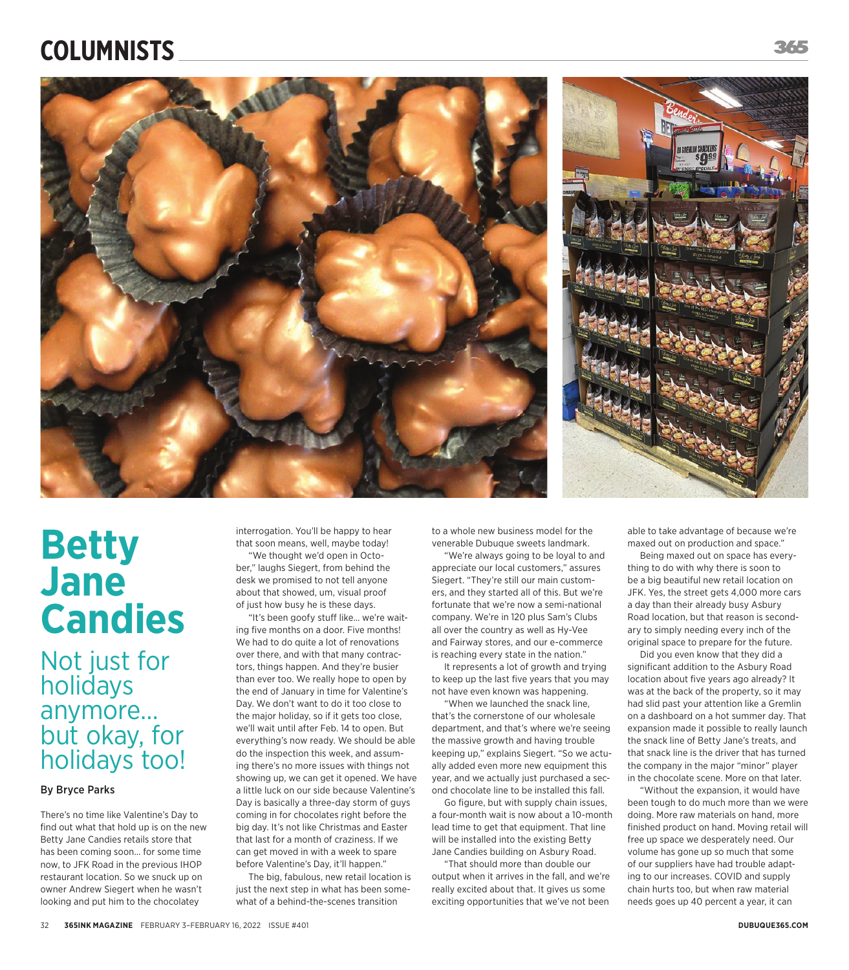## **COLUMNISTS**





# **Betty Jane Candies**

Not just for holidays anymore… but okay, for holidays too!

#### By Bryce Parks

There's no time like Valentine's Day to find out what that hold up is on the new Betty Jane Candies retails store that has been coming soon… for some time now, to JFK Road in the previous IHOP restaurant location. So we snuck up on owner Andrew Siegert when he wasn't looking and put him to the chocolatey

interrogation. You'll be happy to hear that soon means, well, maybe today!

"We thought we'd open in October," laughs Siegert, from behind the desk we promised to not tell anyone about that showed, um, visual proof of just how busy he is these days.

"It's been goofy stuff like... we're waiting five months on a door. Five months! We had to do quite a lot of renovations over there, and with that many contractors, things happen. And they're busier than ever too. We really hope to open by the end of January in time for Valentine's Day. We don't want to do it too close to the major holiday, so if it gets too close, we'll wait until after Feb. 14 to open. But everything's now ready. We should be able do the inspection this week, and assuming there's no more issues with things not showing up, we can get it opened. We have a little luck on our side because Valentine's Day is basically a three-day storm of guys coming in for chocolates right before the big day. It's not like Christmas and Easter that last for a month of craziness. If we can get moved in with a week to spare before Valentine's Day, it'll happen."

The big, fabulous, new retail location is just the next step in what has been somewhat of a behind-the-scenes transition

to a whole new business model for the venerable Dubuque sweets landmark.

"We're always going to be loyal to and appreciate our local customers," assures Siegert. "They're still our main customers, and they started all of this. But we're fortunate that we're now a semi-national company. We're in 120 plus Sam's Clubs all over the country as well as Hy-Vee and Fairway stores, and our e-commerce is reaching every state in the nation."

It represents a lot of growth and trying to keep up the last five years that you may not have even known was happening.

"When we launched the snack line, that's the cornerstone of our wholesale department, and that's where we're seeing the massive growth and having trouble keeping up," explains Siegert. "So we actually added even more new equipment this year, and we actually just purchased a second chocolate line to be installed this fall.

Go figure, but with supply chain issues, a four-month wait is now about a 10-month lead time to get that equipment. That line will be installed into the existing Betty Jane Candies building on Asbury Road.

"That should more than double our output when it arrives in the fall, and we're really excited about that. It gives us some exciting opportunities that we've not been

able to take advantage of because we're maxed out on production and space."

Being maxed out on space has everything to do with why there is soon to be a big beautiful new retail location on JFK. Yes, the street gets 4,000 more cars a day than their already busy Asbury Road location, but that reason is secondary to simply needing every inch of the original space to prepare for the future.

Did you even know that they did a significant addition to the Asbury Road location about five years ago already? It was at the back of the property, so it may had slid past your attention like a Gremlin on a dashboard on a hot summer day. That expansion made it possible to really launch the snack line of Betty Jane's treats, and that snack line is the driver that has turned the company in the major "minor" player in the chocolate scene. More on that later.

"Without the expansion, it would have been tough to do much more than we were doing. More raw materials on hand, more finished product on hand. Moving retail will free up space we desperately need. Our volume has gone up so much that some of our suppliers have had trouble adapting to our increases. COVID and supply chain hurts too, but when raw material needs goes up 40 percent a year, it can